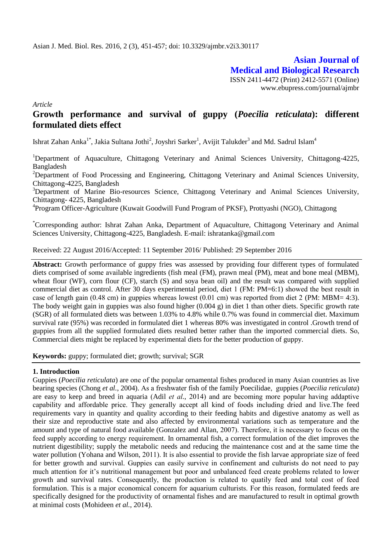**Asian Journal of Medical and Biological Research** ISSN 2411-4472 (Print) 2412-5571 (Online) www.ebupress.com/journal/ajmbr

*Article*

# **Growth performance and survival of guppy (***Poecilia reticulata***): different formulated diets effect**

Ishrat Zahan Anka $^{1*}$ , Jakia Sultana Jothi<sup>2</sup>, Joyshri Sarker<sup>1</sup>, Avijit Talukder<sup>3</sup> and Md. Sadrul Islam<sup>4</sup>

<sup>1</sup>Department of Aquaculture, Chittagong Veterinary and Animal Sciences University, Chittagong-4225, Bangladesh

<sup>2</sup>Department of Food Processing and Engineering, Chittagong Veterinary and Animal Sciences University, Chittagong-4225, Bangladesh

<sup>3</sup>Department of Marine Bio-resources Science, Chittagong Veterinary and Animal Sciences University, Chittagong- 4225, Bangladesh

<sup>4</sup>Program Officer-Agriculture (Kuwait Goodwill Fund Program of PKSF), Prottyashi (NGO), Chittagong

\*Corresponding author: Ishrat Zahan Anka, Department of Aquaculture, Chittagong Veterinary and Animal Sciences University, Chittagong-4225, Bangladesh. E-mail: ishratanka@gmail.com

Received: 22 August 2016/Accepted: 11 September 2016/ Published: 29 September 2016

**Abstract:** Growth performance of guppy fries was assessed by providing four different types of formulated diets comprised of some available ingredients (fish meal (FM), prawn meal (PM), meat and bone meal (MBM), wheat flour (WF), corn flour (CF), starch (S) and soya bean oil) and the result was compared with supplied commercial diet as control. After 30 days experimental period, diet 1 (FM: PM=6:1) showed the best result in case of length gain (0.48 cm) in guppies whereas lowest (0.01 cm) was reported from diet 2 (PM: MBM= 4:3). The body weight gain in guppies was also found higher (0.004 g) in diet 1 than other diets. Specific growth rate (SGR) of all formulated diets was between 1.03% to 4.8% while 0.7% was found in commercial diet. Maximum survival rate (95%) was recorded in formulated diet 1 whereas 80% was investigated in control .Growth trend of guppies from all the supplied formulated diets resulted better rather than the imported commercial diets. So, Commercial diets might be replaced by experimental diets for the better production of guppy.

**Keywords:** guppy; formulated diet; growth; survival; SGR

## **1. Introduction**

Guppies (*Poecilia reticulata*) are one of the popular ornamental fishes produced in many Asian countries as live bearing species (Chong *et al.*, 2004). As a freshwater fish of the family Poecilidae, guppies (*Poecilia reticulata*) are easy to keep and breed in aquaria (Adil *et al.*, 2014) and are becoming more popular having addaptive capability and affordable price. They generally accept all kind of foods including dried and live.The feed requirements vary in quantity and quality according to their feeding habits and digestive anatomy as well as their size and reproductive state and also affected by environmental variations such as temperature and the amount and type of natural food available (Gonzalez and Allan, 2007). Therefore, it is necessary to focus on the feed supply according to energy requirement. In ornamental fish, a correct formulation of the diet improves the nutrient digestibility; supply the metabolic needs and reducing the maintenance cost and at the same time the water pollution (Yohana and Wilson, 2011). It is also essential to provide the fish larvae appropriate size of feed for better growth and survival. Guppies can easily survive in confinement and culturists do not need to pay much attention for it's nutritional management but poor and unbalanced feed create problems related to lower growth and survival rates. Consequently, the production is related to quatily feed and total cost of feed formulation. This is a major economical concern for aquarium culturists. For this reason, formulated feeds are specifically designed for the productivity of ornamental fishes and are manufactured to result in optimal growth at minimal costs (Mohideen *et al.*, 2014).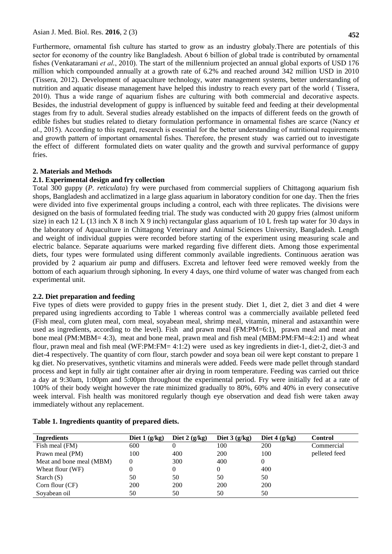Furthermore, ornamental fish culture has started to grow as an industry globaly.There are potentials of this sector for economy of the country like Bangladesh. About 6 billion of global trade is contributed by ornamental fishes (Venkataramani *et al.*, 2010). The start of the millennium projected an annual global exports of USD 176 million which compounded annually at a growth rate of 6.2% and reached around 342 million USD in 2010 (Tissera, 2012). Development of aquaculture technology, water management systems, better understanding of nutrition and aquatic disease management have helped this industry to reach every part of the world ( Tissera, 2010). Thus a wide range of aquarium fishes are culturing with both commercial and decorative aspects. Besides, the industrial development of guppy is influenced by suitable feed and feeding at their developmental stages from fry to adult. Several studies already established on the impacts of different feeds on the growth of edible fishes but studies related to dietary formulation performance in ornamental fishes are scarce (Nancy *et al.*, 2015). According to this regard, research is essential for the better understanding of nutritional requirements and growth pattern of important ornamental fishes. Therefore, the present study was carried out to investigate the effect of different formulated diets on water quality and the growth and survival performance of guppy fries.

#### **2. Materials and Methods**

#### **2.1. Experimental design and fry collection**

Total 300 guppy (*P. reticulata*) fry were purchased from commercial suppliers of Chittagong aquarium fish shops, Bangladesh and acclimatized in a large glass aquarium in laboratory condition for one day. Then the fries were divided into five experimental groups including a control, each with three replicates. The divisions were designed on the basis of formulated feeding trial. The study was conducted with 20 guppy fries (almost uniform size) in each 12 L (13 inch X 8 inch X 9 inch) rectangular glass aquarium of 10 L fresh tap water for 30 days in the laboratory of Aquaculture in Chittagong Veterinary and Animal Sciences University, Bangladesh. Length and weight of individual guppies were recorded before starting of the experiment using measuring scale and electric balance. Separate aquariums were marked regarding five different diets. Among those experimental diets, four types were formulated using different commonly available ingredients. Continuous aeration was provided by 2 aquarium air pump and diffusers. Excreta and leftover feed were removed weekly from the bottom of each aquarium through siphoning. In every 4 days, one third volume of water was changed from each experimental unit.

#### **2.2. Diet preparation and feeding**

Five types of diets were provided to guppy fries in the present study. Diet 1, diet 2, diet 3 and diet 4 were prepared using ingredients according to Table 1 whereas control was a commercially available pelleted feed (Fish meal, corn gluten meal, corn meal, soyabean meal, shrimp meal, vitamin, mineral and astaxanthin were used as ingredients, according to the level). Fish and prawn meal (FM:PM=6:1), prawn meal and meat and bone meal (PM:MBM= 4:3), meat and bone meal, prawn meal and fish meal (MBM:PM:FM=4:2:1) and wheat flour, prawn meal and fish meal (WF:PM:FM= 4:1:2) were used as key ingredients in diet-1, diet-2, diet-3 and diet-4 respectively. The quantity of corn flour, starch powder and soya bean oil were kept constant to prepare 1 kg diet. No preservatives, synthetic vitamins and minerals were added. Feeds were made pellet through standard process and kept in fully air tight container after air drying in room temperature. Feeding was carried out thrice a day at 9:30am, 1:00pm and 5:00pm throughout the experimental period. Fry were initially fed at a rate of 100% of their body weight however the rate minimized gradually to 80%, 60% and 40% in every consecutive week interval. Fish health was monitored regularly though eye observation and dead fish were taken away immediately without any replacement.

| Ingredients              | Diet $1(g/kg)$ | Diet $2(g/kg)$ | Diet $3(g/kg)$ | Diet $4(g/kg)$ | Control       |
|--------------------------|----------------|----------------|----------------|----------------|---------------|
| Fish meal (FM)           | 600            |                | 100            | 200            | Commercial    |
| Prawn meal (PM)          | 100            | 400            | 200            | 100            | pelleted feed |
| Meat and bone meal (MBM) | $\Omega$       | 300            | 400            |                |               |
| Wheat flour (WF)         | 0              | 0              |                | 400            |               |
| Starch $(S)$             | 50             | 50             | 50             | 50             |               |
| Corn flour (CF)          | 200            | 200            | <b>200</b>     | 200            |               |
| Sovabean oil             | 50             | 50             | 50             | 50             |               |

**Table 1. Ingredients quantity of prepared diets.**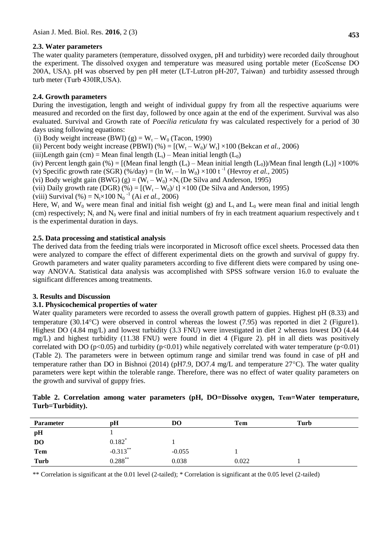# **2.3. Water parameters**

The water quality parameters (temperature, dissolved oxygen, pH and turbidity) were recorded daily throughout the experiment. The dissolved oxygen and temperature was measured using portable meter (EcoScense DO 200A, USA). pH was observed by pen pH meter (LT-Lutron pH-207, Taiwan) and turbidity assessed through turb meter (Turb 430IR,USA).

# **2.4. Growth parameters**

During the investigation, length and weight of individual guppy fry from all the respective aquariums were measured and recorded on the first day, followed by once again at the end of the experiment. Survival was also evaluated. Survival and Growth rate of *Poecilia reticulata* fry was calculated respectively for a period of 30 days using following equations:

(i) Body weight increase (BWI) (g) =  $W_t - W_0$  (Tacon, 1990)

(ii) Percent body weight increase (PBWI)  $%$   $=$   $[(W_t - W_0)/W_t] \times 100$  (Bekcan *et al.*, 2006)

(iii)Length gain (cm) = Mean final length  $(L_t)$  – Mean initial length  $(L_0)$ 

(iv) Percent length gain (%) =  $[(Mean final length (L<sub>t</sub>) - Mean initial length (L<sub>0</sub>))/Mean final length (L<sub>t</sub>)] \times 100\%$ (v) Specific growth rate (SGR)  $(\frac{\%}{day}) = (\ln W_t - \ln W_0) \times 100$  t<sup>-1</sup> (Hevroy *et al.*, 2005)

(vi) Body weight gain (BWG) (g) =  $(W_t - W_0) \times N_t$  (De Silva and Anderson, 1995)

(vii) Daily growth rate (DGR)  $(\% ) = [(W_t - W_0)/t] \times 100$  (De Silva and Anderson, 1995)

(viii) Survival  $(\%) = N_t \times 100 N_0^{-1}$  (Ai *et al.*, 2006)

Here,  $W_t$  and  $W_0$  were mean final and initial fish weight (g) and  $L_t$  and  $L_0$  were mean final and initial length (cm) respectively;  $N_t$  and  $N_0$  were final and initial numbers of fry in each treatment aquarium respectively and t is the experimental duration in days.

# **2.5. Data processing and statistical analysis**

The derived data from the feeding trials were incorporated in Microsoft office excel sheets. Processed data then were analyzed to compare the effect of different experimental diets on the growth and survival of guppy fry. Growth parameters and water quality parameters according to five different diets were compared by using oneway ANOVA. Statistical data analysis was accomplished with SPSS software version 16.0 to evaluate the significant differences among treatments.

## **3. Results and Discussion**

## **3.1. Physicochemical properties of water**

Water quality parameters were recorded to assess the overall growth pattern of guppies. Highest pH (8.33) and temperature (30.14 $^{\circ}$ C) were observed in control whereas the lowest (7.95) was reported in diet 2 (Figure1). Highest DO (4.84 mg/L) and lowest turbidity (3.3 FNU) were investigated in diet 2 whereas lowest DO (4.44 mg/L) and highest turbidity (11.38 FNU) were found in diet 4 (Figure 2). pH in all diets was positively correlated with DO ( $p<0.05$ ) and turbidity ( $p<0.01$ ) while negatively correlated with water temperature ( $p<0.01$ ) (Table 2). The parameters were in between optimum range and similar trend was found in case of pH and temperature rather than DO in Bishnoi (2014) (pH7.9, DO7.4 mg/L and temperature  $27^{\circ}$ C). The water quality parameters were kept within the tolerable range. Therefore, there was no effect of water quality parameters on the growth and survival of guppy fries.

|                  |  |  | Table 2. Correlation among water parameters (pH, DO=Dissolve oxygen, Tem=Water temperature, |  |  |
|------------------|--|--|---------------------------------------------------------------------------------------------|--|--|
| Turb=Turbidity). |  |  |                                                                                             |  |  |

| <b>Parameter</b> | pH                   | DO       | Tem   | Turb |
|------------------|----------------------|----------|-------|------|
| pН               |                      |          |       |      |
| D <sub>O</sub>   | $0.182$ <sup>*</sup> |          |       |      |
| Tem              | $-0.313***$          | $-0.055$ |       |      |
| Turb             | $0.288^{**}$         | 0.038    | 0.022 |      |

\*\* Correlation is significant at the 0.01 level (2-tailed); \* Correlation is significant at the 0.05 level (2-tailed)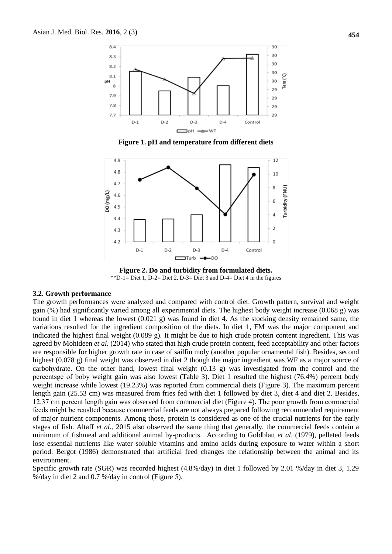

**Figure 1. pH and temperature from different diets** 



**Figure 2. Do and turbidity from formulated diets.** \*\*D-1= Diet 1, D-2= Diet 2, D-3= Diet 3 and D-4= Diet 4 in the figures

#### **3.2. Growth performance**

The growth performances were analyzed and compared with control diet. Growth pattern, survival and weight gain (%) had significantly varied among all experimental diets. The highest body weight increase (0.068 g) was found in diet 1 whereas the lowest (0.021 g) was found in diet 4. As the stocking density remained same, the variations resulted for the ingredient composition of the diets. In diet 1, FM was the major component and indicated the highest final weight (0.089 g). It might be due to high crude protein content ingredient. This was agreed by Mohideen *et al.* (2014) who stated that high crude protein content, feed acceptability and other factors are responsible for higher growth rate in case of sailfin moly (another popular ornamental fish). Besides, second highest (0.078 g) final weight was observed in diet 2 though the major ingredient was WF as a major source of carbohydrate. On the other hand, lowest final weight (0.13 g) was investigated from the control and the percentsge of boby weight gain was also lowest (Table 3). Diet 1 resulted the highest (76.4%) percent body weight increase while lowest (19.23%) was reported from commercial diets (Figure 3). The maximum percent length gain (25.53 cm) was measured from fries fed with diet 1 followed by diet 3, diet 4 and diet 2. Besides, 12.37 cm percent length gain was observed from commercial diet (Figure 4). The poor growth from commercial feeds might be reuslted because commercial feeds are not always prepared following recommended requirement of major nutrient components. Among those, protein is considered as one of the crucial nutrients for the early stages of fish. Altaff *et al.*, 2015 also observed the same thing that *g*enerally, the commercial feeds contain a minimum of fishmeal and additional animal by-products. According to Goldblatt *et al*. (1979), pelleted feeds lose essential nutrients like water soluble vitamins and amino acids during exposure to water within a short period. Bergot (1986) demonstrated that artificial feed changes the relationship between the animal and its environment.

Specific growth rate (SGR) was recorded highest (4.8%/day) in diet 1 followed by 2.01 %/day in diet 3, 1.29 %/day in diet 2 and 0.7 %/day in control (Figure 5).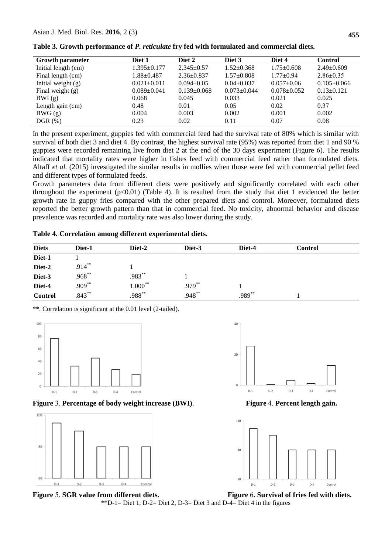| <b>Growth parameter</b> | Diet 1            | Diet 2            | Diet 3            | Diet 4            | <b>Control</b>    |
|-------------------------|-------------------|-------------------|-------------------|-------------------|-------------------|
| Initial length (cm)     | $1.395 \pm 0.177$ | $2.345 \pm 0.57$  | $1.52 \pm 0.368$  | $1.75 \pm 0.608$  | $2.49 \pm 0.609$  |
| Final length (cm)       | $1.88 \pm 0.487$  | $2.36 \pm 0.837$  | $1.57 \pm 0.808$  | $1.77+0.94$       | $2.86 \pm 0.35$   |
| Initial weight $(g)$    | $0.021 \pm 0.011$ | $0.094 \pm 0.05$  | $0.04 \pm 0.037$  | $0.057+0.06$      | $0.105 \pm 0.066$ |
| Final weight $(g)$      | $0.089 \pm 0.041$ | $0.139 \pm 0.068$ | $0.073 \pm 0.044$ | $0.078 \pm 0.052$ | $0.13 \pm 0.121$  |
| BWI(g)                  | 0.068             | 0.045             | 0.033             | 0.021             | 0.025             |
| Length gain (cm)        | 0.48              | 0.01              | 0.05              | 0.02              | 0.37              |
| BWG(g)                  | 0.004             | 0.003             | 0.002             | 0.001             | 0.002             |
| $DGR(\% )$              | 0.23              | 0.02              | 0.11              | 0.07              | 0.08              |

**Table 3. Growth performance of** *P. reticulate* **fry fed with formulated and commercial diets.** 

In the present experiment, guppies fed with commercial feed had the survival rate of 80% which is similar with survival of both diet 3 and diet 4. By contrast, the highest survival rate (95%) was reported from diet 1 and 90 % guppies were recorded remaining live from diet 2 at the end of the 30 days experiment (Figure 6). The results indicated that mortality rates were higher in fishes feed with commercial feed rather than formulated diets. Altaff *et al.* (2015) investigated the similar results in mollies when those were fed with commercial pellet feed and different types of formulated feeds.

Growth parameters data from different diets were positively and significantly correlated with each other throughout the experiment  $(p<0.01)$  (Table 4). It is resulted from the study that diet 1 evidenced the better growth rate in guppy fries compared with the other prepared diets and control. Moreover, formulated diets reported the better growth pattern than that in commercial feed. No toxicity, abnormal behavior and disease prevalence was recorded and mortality rate was also lower during the study.

|  |  | Table 4. Correlation among different experimental diets. |  |  |
|--|--|----------------------------------------------------------|--|--|
|--|--|----------------------------------------------------------|--|--|

| <b>Diets</b>   | Diet-1    | Diet-2     | Diet-3    | Diet-4 | <b>Control</b> |  |
|----------------|-----------|------------|-----------|--------|----------------|--|
| Diet-1         |           |            |           |        |                |  |
| Diet-2         | $.914***$ |            |           |        |                |  |
| Diet-3         | $.968***$ | .983**     |           |        |                |  |
| Diet-4         | $.909***$ | $1.000***$ | $.979***$ |        |                |  |
| <b>Control</b> | $.843***$ | $.988***$  | $.948***$ | .989** |                |  |

\*\*. Correlation is significant at the 0.01 level (2-tailed).



**Figure** 3. **Percentage of body weight increase (BWI)**. **Figure** 4. **Percent length gain.**







**Figure** 5. **SGR value from different diets. Figure** 6**. Survival of fries fed with diets.**  \*\*D-1= Diet 1, D-2= Diet 2, D-3= Diet 3 and D-4= Diet 4 in the figures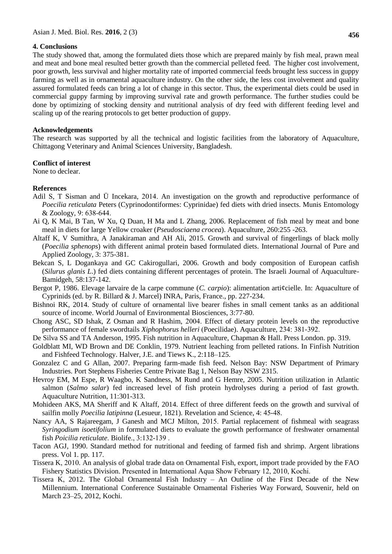#### **4. Conclusions**

The study showed that, among the formulated diets those which are prepared mainly by fish meal, prawn meal and meat and bone meal resulted better growth than the commercial pelleted feed. The higher cost involvement, poor growth, less survival and higher mortality rate of imported commercial feeds brought less success in guppy farming as well as in ornamental aquaculture industry. On the other side, the less cost involvement and quality assured formulated feeds can bring a lot of change in this sector. Thus, the experimental diets could be used in commercial guppy farming by improving survival rate and growth performance. The further studies could be done by optimizing of stocking density and nutritional analysis of dry feed with different feeding level and scaling up of the rearing protocols to get better production of guppy.

#### **Acknowledgements**

The research was supported by all the technical and logistic facilities from the laboratory of Aquaculture, Chittagong Veterinary and Animal Sciences University, Bangladesh.

#### **Conflict of interest**

None to declear.

## **References**

- Adil S, T Sisman and Ü Incekara, 2014. An investigation on the growth and reproductive performance of *Poecilia reticulata* Peters (Cyprinodontiformes: Cyprinidae) fed diets with dried insects. Munis Entomology & Zoology, 9: 638-644.
- Ai Q, K Mai, B Tan, W Xu, Q Duan, H Ma and L Zhang, 2006. Replacement of fish meal by meat and bone meal in diets for large Yellow croaker (*Pseudosciaena crocea*). Aquaculture, 260:255 -263.
- Altaff K, V Sumithra, A Janakiraman and AH Ali, 2015. Growth and survival of fingerlings of black molly (*Poecilia sphenops*) with different animal protein based formulated diets. International Journal of Pure and Applied Zoology*,* 3: 375-381.
- Bekcan S, L Dogankaya and GC Cakirogullari, 2006. Growth and body composition of European catfish (*Silurus glanis L*.) fed diets containing different percentages of protein. The Israeli Journal of Aquaculture-Bamidgeh, 58:137-142.
- Bergot P, 1986. Elevage larvaire de la carpe commune (*C. carpio*): alimentation arti¢cielle. In: Aquaculture of Cyprinids (ed. by R. Billard & J. Marcel) INRA, Paris, France., pp. 227-234.
- Bishnoi RK, 2014. Study of culture of ornamental live bearer fishes in small cement tanks as an additional source of income. World Journal of Environmental Biosciences, 3:77-80.
- Chong ASC, SD Ishak, Z Osman and R Hashim, 2004. Effect of dietary protein levels on the reproductive performance of female swordtails *Xiphophorus helleri* (Poecilidae). Aquaculture, 234: 381-392.
- De Silva SS and TA Anderson, 1995. Fish nutrition in Aquaculture, Chapman & Hall. Press London. pp. 319.
- Goldblatt MI, WD Brown and DE Conklin, 1979. Nutrient leaching from pelleted rations. In Finfish Nutrition and Fishfeed Technology. Halver, J.E. and Tiews K., 2:118–125.
- Gonzalez C and G Allan, 2007. Preparing farm-made fish feed. Nelson Bay: NSW Department of Primary Industries. Port Stephens Fisheries Centre Private Bag 1, Nelson Bay NSW 2315.
- Hevroy EM, M Espe, R Waagbo, K Sandness, M Rund and G Hemre, 2005. Nutrition utilization in Atlantic salmon (*Salmo salar*) fed increased level of fish protein hydrolyses during a period of fast growth. Aquaculture Nutrition, 11:301-313.
- Mohideen AKS, MA Sheriff and K Altaff, 2014. Effect of three different feeds on the growth and survival of sailfin molly *Poecilia latipinna* (Lesueur, 1821)*.* Revelation and Science, 4: 45-48.
- Nancy AA, S Rajareegam, J Ganesh and MCJ Milton, 2015. Partial replacement of fishmeal with seagrass *Syringodium isoetifolium* in formulated diets to evaluate the growth performance of freshwater ornamental fish *Poicilia reticulate*. Biolife., 3:132-139 .
- Tacon AGJ, 1990. Standard method for nutritional and feeding of farmed fish and shrimp. Argent librations press. Vol 1. pp. 117.
- Tissera K, 2010. An analysis of global trade data on Ornamental Fish, export, import trade provided by the FAO Fishery Statistics Division. Presented in International Aqua Show February 12, 2010, Kochi.
- Tissera K, 2012. The Global Ornamental Fish Industry An Outline of the First Decade of the New Millennium. International Conference Sustainable Ornamental Fisheries Way Forward, Souvenir, held on March 23–25, 2012, Kochi.